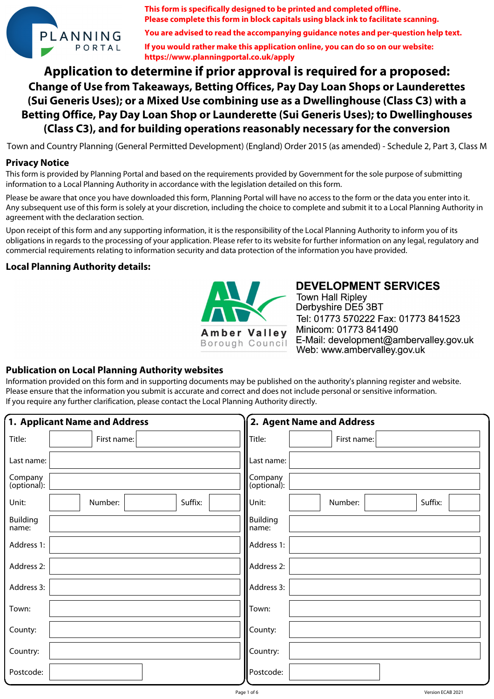

**This form is specifically designed to be printed and completed offline. Please complete this form in block capitals using black ink to facilitate scanning.**

**You are advised to read the accompanying guidance notes and per-question help text.**

**If you would rather make this application online, you can do so on our website: https://www.planningportal.co.uk/apply**

**Application to determine if prior approval is required for a proposed: Change of Use from Takeaways, Betting Offices, Pay Day Loan Shops or Launderettes (Sui Generis Uses); or a Mixed Use combining use as a Dwellinghouse (Class C3) with a Betting Office, Pay Day Loan Shop or Launderette (Sui Generis Uses); to Dwellinghouses (Class C3), and for building operations reasonably necessary for the conversion**

Town and Country Planning (General Permitted Development) (England) Order 2015 (as amended) - Schedule 2, Part 3, Class M

#### **Privacy Notice**

This form is provided by Planning Portal and based on the requirements provided by Government for the sole purpose of submitting information to a Local Planning Authority in accordance with the legislation detailed on this form.

Please be aware that once you have downloaded this form, Planning Portal will have no access to the form or the data you enter into it. Any subsequent use of this form is solely at your discretion, including the choice to complete and submit it to a Local Planning Authority in agreement with the declaration section.

Upon receipt of this form and any supporting information, it is the responsibility of the Local Planning Authority to inform you of its obligations in regards to the processing of your application. Please refer to its website for further information on any legal, regulatory and commercial requirements relating to information security and data protection of the information you have provided.

### **Local Planning Authority details:**



**DEVELOPMENT SERVICES Town Hall Ripley** Derbyshire DE5 3BT Tel: 01773 570222 Fax: 01773 841523 Minicom: 01773 841490 E-Mail: development@ambervalley.gov.uk Web: www.ambervalley.gov.uk

### **Publication on Local Planning Authority websites**

Information provided on this form and in supporting documents may be published on the authority's planning register and website. Please ensure that the information you submit is accurate and correct and does not include personal or sensitive information. If you require any further clarification, please contact the Local Planning Authority directly.

|                          | 1. Applicant Name and Address |         |                          | 2. Agent Name and Address |         |
|--------------------------|-------------------------------|---------|--------------------------|---------------------------|---------|
| Title:                   | First name:                   |         | Title:                   | First name:               |         |
| Last name:               |                               |         | Last name:               |                           |         |
| Company<br>(optional):   |                               |         | Company<br>(optional):   |                           |         |
| Unit:                    | Number:                       | Suffix: | Unit:                    | Number:                   | Suffix: |
| <b>Building</b><br>name: |                               |         | <b>Building</b><br>name: |                           |         |
| Address 1:               |                               |         | Address 1:               |                           |         |
| Address 2:               |                               |         | Address 2:               |                           |         |
| Address 3:               |                               |         | Address 3:               |                           |         |
| Town:                    |                               |         | Town:                    |                           |         |
| County:                  |                               |         | County:                  |                           |         |
| Country:                 |                               |         | Country:                 |                           |         |
| Postcode:                |                               |         | Postcode:                |                           |         |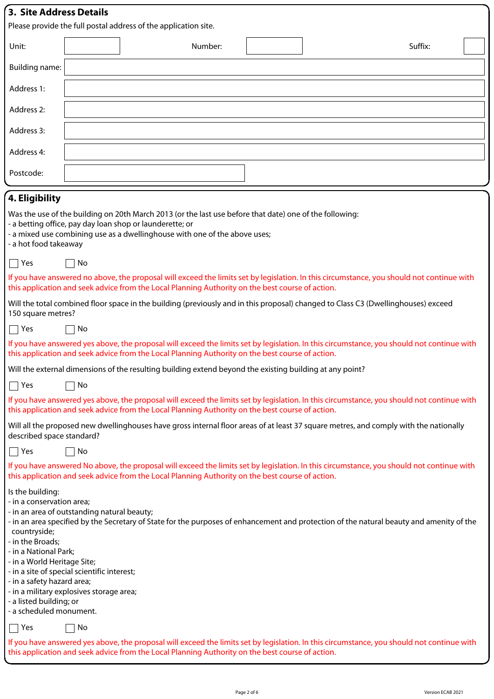| 3. Site Address Details                                                                                                                                                                                                                                                                               |                                                                                                                                                                                                                                                |  |         |  |  |         |  |
|-------------------------------------------------------------------------------------------------------------------------------------------------------------------------------------------------------------------------------------------------------------------------------------------------------|------------------------------------------------------------------------------------------------------------------------------------------------------------------------------------------------------------------------------------------------|--|---------|--|--|---------|--|
| Please provide the full postal address of the application site.                                                                                                                                                                                                                                       |                                                                                                                                                                                                                                                |  |         |  |  |         |  |
| Unit:                                                                                                                                                                                                                                                                                                 |                                                                                                                                                                                                                                                |  | Number: |  |  | Suffix: |  |
| Building name:                                                                                                                                                                                                                                                                                        |                                                                                                                                                                                                                                                |  |         |  |  |         |  |
| Address 1:                                                                                                                                                                                                                                                                                            |                                                                                                                                                                                                                                                |  |         |  |  |         |  |
| Address 2:                                                                                                                                                                                                                                                                                            |                                                                                                                                                                                                                                                |  |         |  |  |         |  |
| Address 3:                                                                                                                                                                                                                                                                                            |                                                                                                                                                                                                                                                |  |         |  |  |         |  |
| Address 4:                                                                                                                                                                                                                                                                                            |                                                                                                                                                                                                                                                |  |         |  |  |         |  |
| Postcode:                                                                                                                                                                                                                                                                                             |                                                                                                                                                                                                                                                |  |         |  |  |         |  |
| 4. Eligibility                                                                                                                                                                                                                                                                                        |                                                                                                                                                                                                                                                |  |         |  |  |         |  |
| Was the use of the building on 20th March 2013 (or the last use before that date) one of the following:<br>- a betting office, pay day loan shop or launderette; or<br>- a mixed use combining use as a dwellinghouse with one of the above uses;<br>a hot food takeaway                              |                                                                                                                                                                                                                                                |  |         |  |  |         |  |
| Yes<br>$\mathsf{L}$                                                                                                                                                                                                                                                                                   | No                                                                                                                                                                                                                                             |  |         |  |  |         |  |
| If you have answered no above, the proposal will exceed the limits set by legislation. In this circumstance, you should not continue with<br>this application and seek advice from the Local Planning Authority on the best course of action.                                                         |                                                                                                                                                                                                                                                |  |         |  |  |         |  |
| Will the total combined floor space in the building (previously and in this proposal) changed to Class C3 (Dwellinghouses) exceed<br>150 square metres?                                                                                                                                               |                                                                                                                                                                                                                                                |  |         |  |  |         |  |
| Yes<br>$\sim$                                                                                                                                                                                                                                                                                         | No                                                                                                                                                                                                                                             |  |         |  |  |         |  |
|                                                                                                                                                                                                                                                                                                       | If you have answered yes above, the proposal will exceed the limits set by legislation. In this circumstance, you should not continue with<br>this application and seek advice from the Local Planning Authority on the best course of action. |  |         |  |  |         |  |
| Will the external dimensions of the resulting building extend beyond the existing building at any point?                                                                                                                                                                                              |                                                                                                                                                                                                                                                |  |         |  |  |         |  |
| $\Box$ Yes<br>$\sqcap$ No                                                                                                                                                                                                                                                                             |                                                                                                                                                                                                                                                |  |         |  |  |         |  |
| If you have answered yes above, the proposal will exceed the limits set by legislation. In this circumstance, you should not continue with<br>this application and seek advice from the Local Planning Authority on the best course of action.                                                        |                                                                                                                                                                                                                                                |  |         |  |  |         |  |
| Will all the proposed new dwellinghouses have gross internal floor areas of at least 37 square metres, and comply with the nationally<br>described space standard?                                                                                                                                    |                                                                                                                                                                                                                                                |  |         |  |  |         |  |
| $\Box$ Yes                                                                                                                                                                                                                                                                                            | No                                                                                                                                                                                                                                             |  |         |  |  |         |  |
| If you have answered No above, the proposal will exceed the limits set by legislation. In this circumstance, you should not continue with<br>this application and seek advice from the Local Planning Authority on the best course of action.                                                         |                                                                                                                                                                                                                                                |  |         |  |  |         |  |
| Is the building:<br>- in a conservation area;<br>- in an area of outstanding natural beauty;<br>- in an area specified by the Secretary of State for the purposes of enhancement and protection of the natural beauty and amenity of the<br>countryside;<br>- in the Broads;<br>- in a National Park; |                                                                                                                                                                                                                                                |  |         |  |  |         |  |

- in a World Heritage Site;
- in a site of special scientific interest;
- in a safety hazard area;
- in a military explosives storage area;
- a listed building; or

- a scheduled monument.

 $\Box$  Yes  $\Box$  No

If you have answered yes above, the proposal will exceed the limits set by legislation. In this circumstance, you should not continue with this application and seek advice from the Local Planning Authority on the best course of action.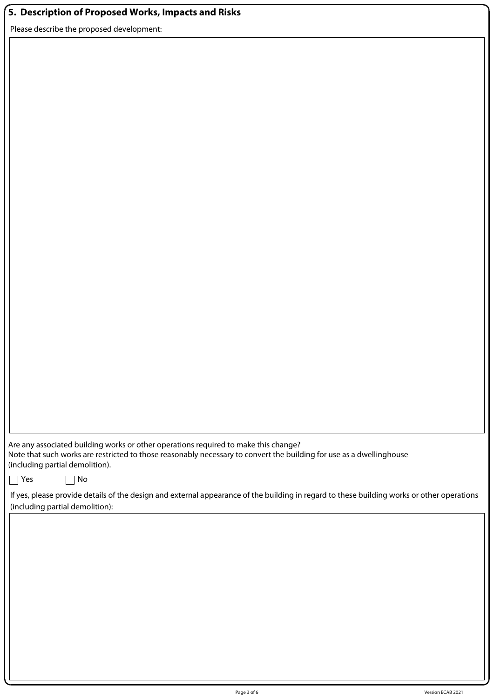## **5. Description of Proposed Works, Impacts and Risks**

Please describe the proposed development:

Are any associated building works or other operations required to make this change? Note that such works are restricted to those reasonably necessary to convert the building for use as a dwellinghouse (including partial demolition).

| $\sim$<br>w<br>۰. |
|-------------------|
|-------------------|

 $\Box$  No

If yes, please provide details of the design and external appearance of the building in regard to these building works or other operations (including partial demolition):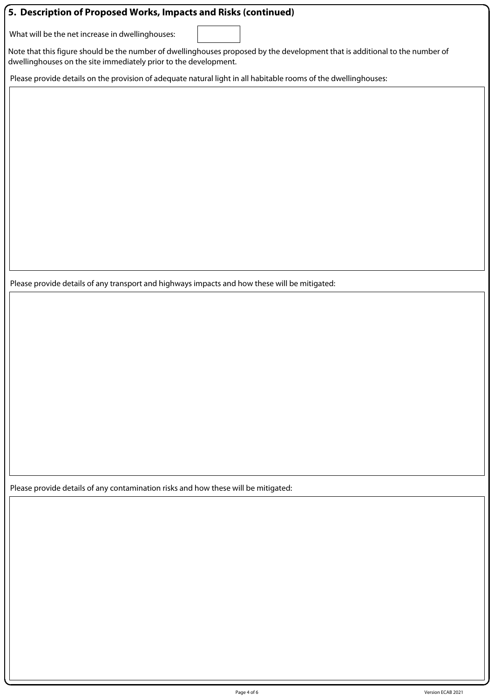### **5. Description of Proposed Works, Impacts and Risks (continued)**

What will be the net increase in dwellinghouses:

Note that this figure should be the number of dwellinghouses proposed by the development that is additional to the number of dwellinghouses on the site immediately prior to the development.

Please provide details on the provision of adequate natural light in all habitable rooms of the dwellinghouses:

Please provide details of any transport and highways impacts and how these will be mitigated:

Please provide details of any contamination risks and how these will be mitigated: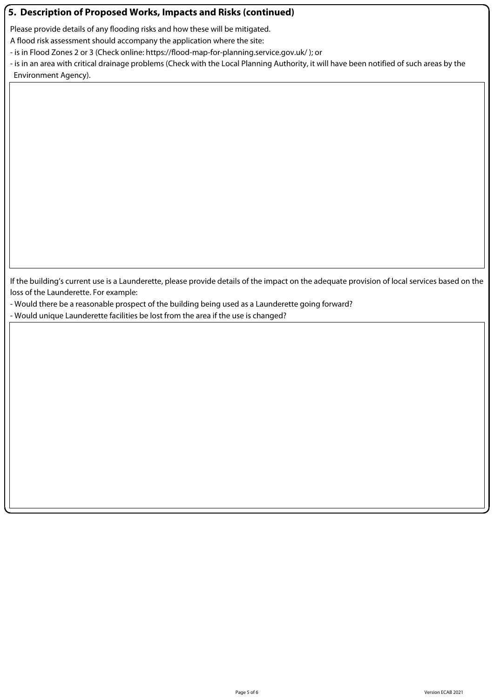### **5. Description of Proposed Works, Impacts and Risks (continued)**

Please provide details of any flooding risks and how these will be mitigated.

A flood risk assessment should accompany the application where the site:

- is in Flood Zones 2 or 3 (Check online: https://flood-map-for-planning.service.gov.uk/ ); or

- is in an area with critical drainage problems (Check with the Local Planning Authority, it will have been notified of such areas by the Environment Agency).

If the building's current use is a Launderette, please provide details of the impact on the adequate provision of local services based on the loss of the Launderette. For example:

- Would there be a reasonable prospect of the building being used as a Launderette going forward?
- Would unique Launderette facilities be lost from the area if the use is changed?